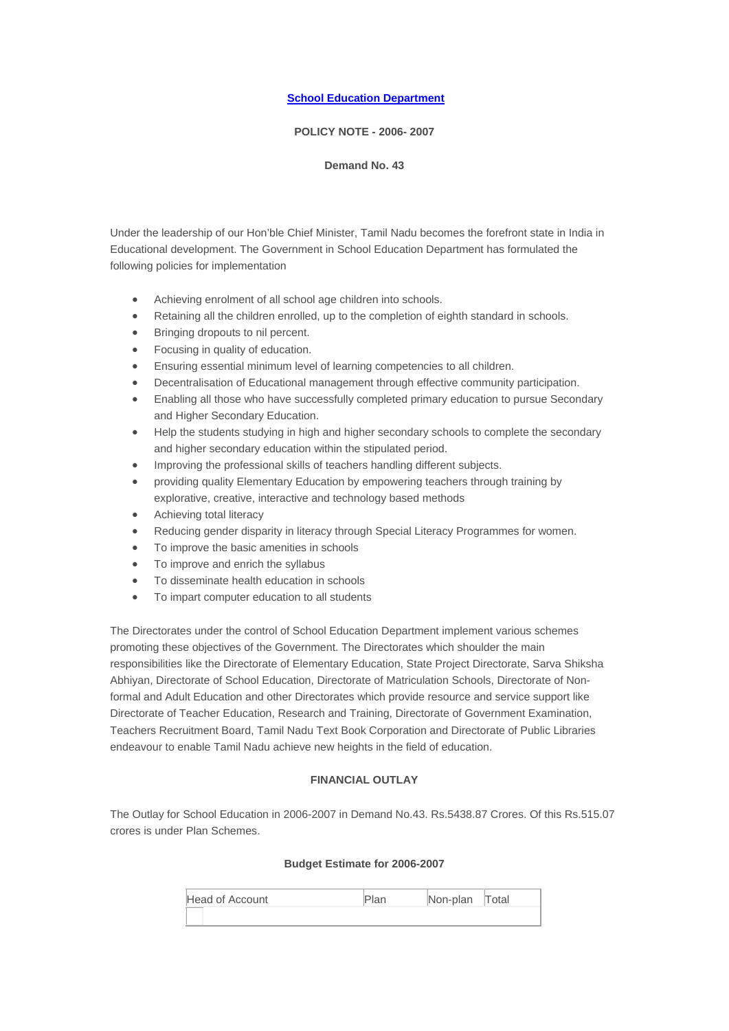## **[School Education Department](http://www.tn.gov.in/policynotes/archives/department/sed.htm)**

#### **POLICY NOTE - 2006- 2007**

#### **Demand No. 43**

Under the leadership of our Hon'ble Chief Minister, Tamil Nadu becomes the forefront state in India in Educational development. The Government in School Education Department has formulated the following policies for implementation

- Achieving enrolment of all school age children into schools.
- Retaining all the children enrolled, up to the completion of eighth standard in schools.
- Bringing dropouts to nil percent.
- Focusing in quality of education.
- Ensuring essential minimum level of learning competencies to all children.
- Decentralisation of Educational management through effective community participation.
- Enabling all those who have successfully completed primary education to pursue Secondary and Higher Secondary Education.
- Help the students studying in high and higher secondary schools to complete the secondary and higher secondary education within the stipulated period.
- Improving the professional skills of teachers handling different subjects.
- providing quality Elementary Education by empowering teachers through training by explorative, creative, interactive and technology based methods
- Achieving total literacy
- Reducing gender disparity in literacy through Special Literacy Programmes for women.
- To improve the basic amenities in schools
- To improve and enrich the syllabus
- To disseminate health education in schools
- To impart computer education to all students

The Directorates under the control of School Education Department implement various schemes promoting these objectives of the Government. The Directorates which shoulder the main responsibilities like the Directorate of Elementary Education, State Project Directorate, Sarva Shiksha Abhiyan, Directorate of School Education, Directorate of Matriculation Schools, Directorate of Nonformal and Adult Education and other Directorates which provide resource and service support like Directorate of Teacher Education, Research and Training, Directorate of Government Examination, Teachers Recruitment Board, Tamil Nadu Text Book Corporation and Directorate of Public Libraries endeavour to enable Tamil Nadu achieve new heights in the field of education.

#### **FINANCIAL OUTLAY**

The Outlay for School Education in 2006-2007 in Demand No.43. Rs.5438.87 Crores. Of this Rs.515.07 crores is under Plan Schemes.

## **Budget Estimate for 2006-2007**

| Head of Account | Plan | Non-plan Total |  |
|-----------------|------|----------------|--|
|                 |      |                |  |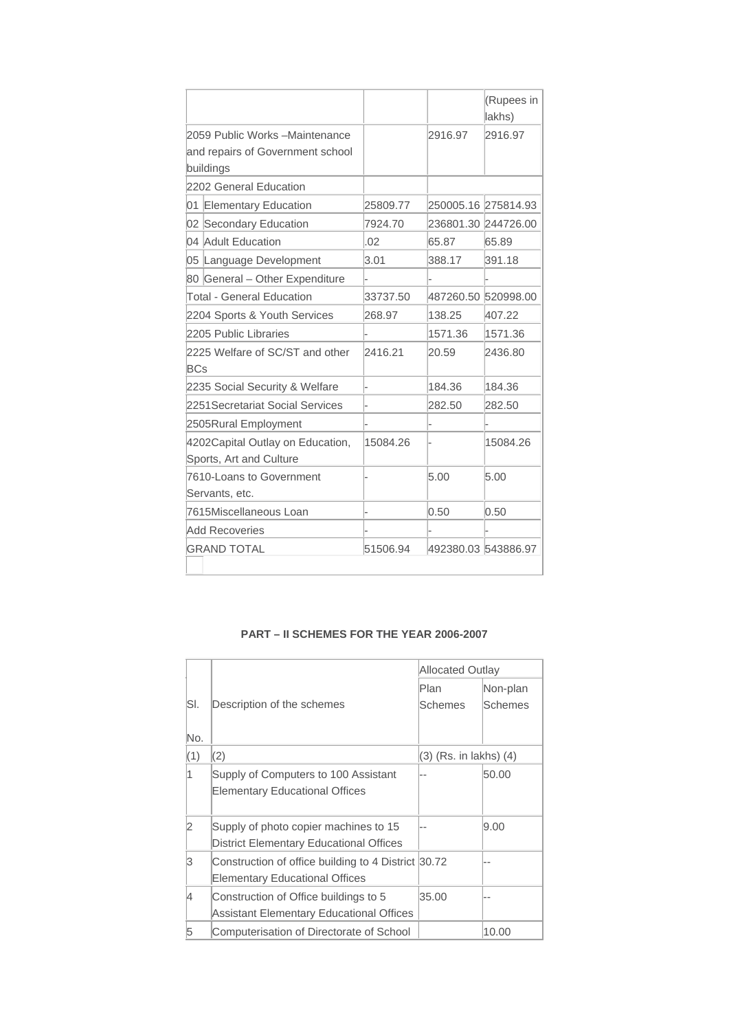|                                               |          |                     | (Rupees in<br>lakhs) |
|-----------------------------------------------|----------|---------------------|----------------------|
| 2059 Public Works - Maintenance               |          | 2916.97             | 2916.97              |
| and repairs of Government school              |          |                     |                      |
| buildings                                     |          |                     |                      |
| 2202 General Education                        |          |                     |                      |
| <b>Elementary Education</b><br>01             | 25809.77 |                     | 250005.16 275814.93  |
| 02 Secondary Education                        | 7924.70  |                     | 236801.30 244726.00  |
| 04 Adult Education                            | .02      | 65.87               | 65.89                |
| 05 Language Development                       | 3.01     | 388.17              | 391.18               |
| 80 General - Other Expenditure                |          |                     |                      |
| <b>Total - General Education</b>              | 33737.50 | 487260.50 520998.00 |                      |
| 2204 Sports & Youth Services                  | 268.97   | 138.25              | 407.22               |
| 2205 Public Libraries                         |          | 1571.36             | 1571.36              |
| 2225 Welfare of SC/ST and other<br><b>BCs</b> | 2416.21  | 20.59               | 2436.80              |
| 2235 Social Security & Welfare                |          | 184.36              | 184.36               |
| 2251 Secretariat Social Services              |          | 282.50              | 282.50               |
| 2505Rural Employment                          |          |                     |                      |
| 4202Capital Outlay on Education,              | 15084.26 |                     | 15084.26             |
| Sports, Art and Culture                       |          |                     |                      |
| 7610-Loans to Government                      |          | 5.00                | 5.00                 |
| Servants, etc.                                |          |                     |                      |
| 7615Miscellaneous Loan                        |          | 0.50                | 0.50                 |
| <b>Add Recoveries</b>                         |          |                     |                      |
| <b>GRAND TOTAL</b>                            | 51506.94 | 492380.03 543886.97 |                      |
|                                               |          |                     |                      |

# **PART – II SCHEMES FOR THE YEAR 2006-2007**

|                |                                                                                              | <b>Allocated Outlay</b>    |                |
|----------------|----------------------------------------------------------------------------------------------|----------------------------|----------------|
|                |                                                                                              | Plan                       | Non-plan       |
| SI.            | Description of the schemes                                                                   | <b>Schemes</b>             | <b>Schemes</b> |
| No.            |                                                                                              |                            |                |
| (1)            | (2)                                                                                          | $(3)$ (Rs. in lakhs) $(4)$ |                |
| 1              | Supply of Computers to 100 Assistant<br><b>Elementary Educational Offices</b>                |                            | 50.00          |
| $\overline{2}$ | Supply of photo copier machines to 15<br><b>District Elementary Educational Offices</b>      |                            | 9.00           |
| 3              | Construction of office building to 4 District 30.72<br><b>Elementary Educational Offices</b> |                            |                |
| 4              | Construction of Office buildings to 5<br>Assistant Elementary Educational Offices            | 35.00                      |                |
| 5              | Computerisation of Directorate of School                                                     |                            | 10.00          |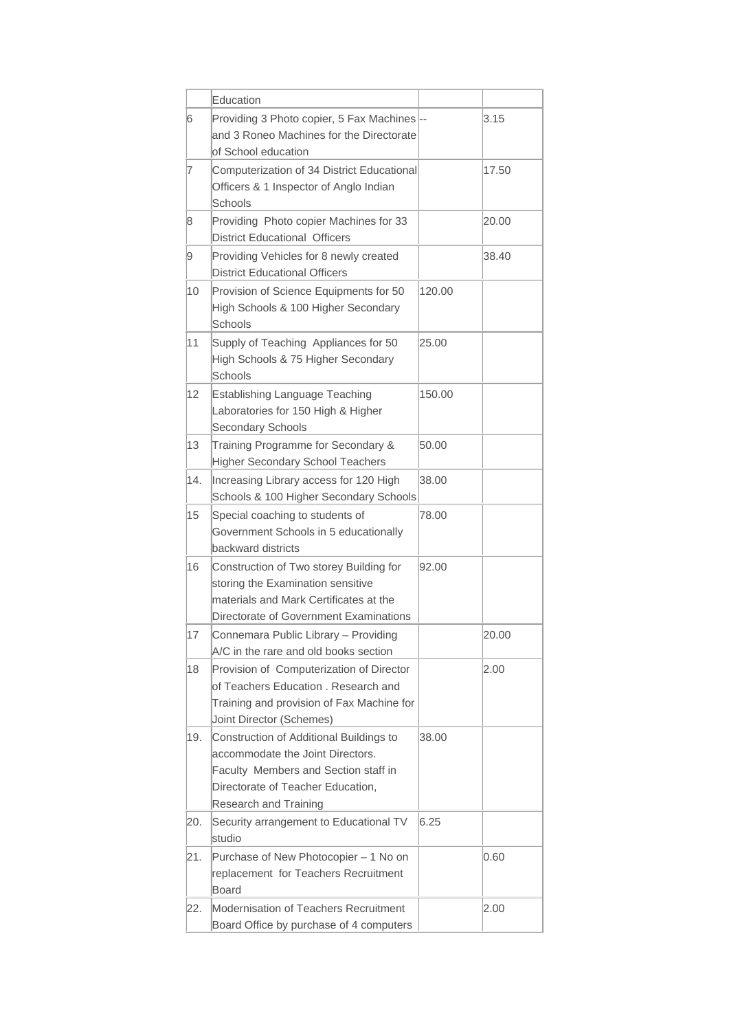|     | Education                                                                                                                                                                         |        |       |
|-----|-----------------------------------------------------------------------------------------------------------------------------------------------------------------------------------|--------|-------|
| 6   | Providing 3 Photo copier, 5 Fax Machines --<br>and 3 Roneo Machines for the Directorate<br>of School education                                                                    |        | 3.15  |
| 7   | Computerization of 34 District Educational<br>Officers & 1 Inspector of Anglo Indian<br>Schools                                                                                   |        | 17.50 |
| 8   | Providing Photo copier Machines for 33<br><b>District Educational Officers</b>                                                                                                    |        | 20.00 |
| 9   | Providing Vehicles for 8 newly created<br><b>District Educational Officers</b>                                                                                                    |        | 38.40 |
| 10  | Provision of Science Equipments for 50<br>High Schools & 100 Higher Secondary<br>Schools                                                                                          | 120.00 |       |
| 11  | Supply of Teaching Appliances for 50<br>High Schools & 75 Higher Secondary<br>Schools                                                                                             | 25.00  |       |
| 12  | <b>Establishing Language Teaching</b><br>Laboratories for 150 High & Higher<br>Secondary Schools                                                                                  | 150.00 |       |
| 13  | Training Programme for Secondary &<br><b>Higher Secondary School Teachers</b>                                                                                                     | 50.00  |       |
| 14. | Increasing Library access for 120 High<br>Schools & 100 Higher Secondary Schools                                                                                                  | 38.00  |       |
| 15  | Special coaching to students of<br>Government Schools in 5 educationally<br>backward districts                                                                                    | 78.00  |       |
| 16  | Construction of Two storey Building for<br>storing the Examination sensitive<br>materials and Mark Certificates at the<br>Directorate of Government Examinations                  | 92.00  |       |
| 17  | Connemara Public Library - Providing<br>A/C in the rare and old books section                                                                                                     |        | 20.00 |
| 18  | Provision of Computerization of Director<br>of Teachers Education, Research and<br>Training and provision of Fax Machine for<br>Joint Director (Schemes)                          |        | 2.00  |
| 19. | Construction of Additional Buildings to<br>accommodate the Joint Directors.<br>Faculty Members and Section staff in<br>Directorate of Teacher Education,<br>Research and Training | 38.00  |       |
| 20. | Security arrangement to Educational TV<br>studio                                                                                                                                  | 6.25   |       |
| 21. | Purchase of New Photocopier - 1 No on<br>replacement for Teachers Recruitment<br><b>Board</b>                                                                                     |        | 0.60  |
| 22. | Modernisation of Teachers Recruitment<br>Board Office by purchase of 4 computers                                                                                                  |        | 2.00  |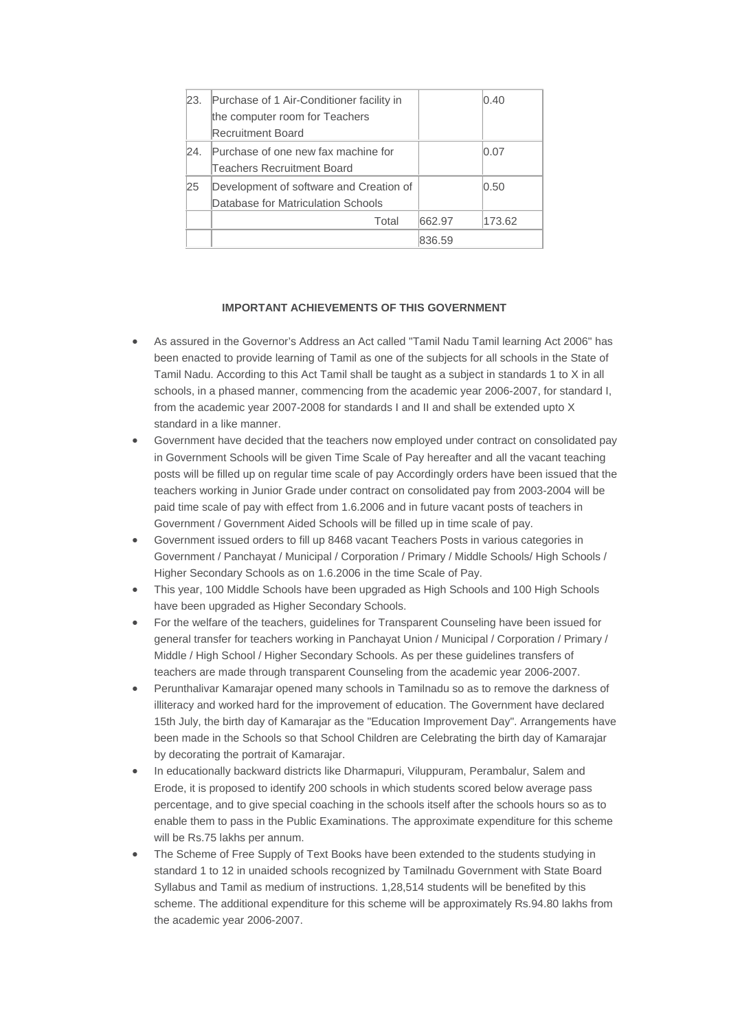| 23. | Purchase of 1 Air-Conditioner facility in |        | $ 0.40\rangle$ |
|-----|-------------------------------------------|--------|----------------|
|     | the computer room for Teachers            |        |                |
|     | Recruitment Board                         |        |                |
| 24. | Purchase of one new fax machine for       |        | 0.07           |
|     | Teachers Recruitment Board                |        |                |
| 25  | Development of software and Creation of   |        | 0.50           |
|     | Database for Matriculation Schools        |        |                |
|     | Total                                     | 662.97 | 173.62         |
|     |                                           | 836.59 |                |

## **IMPORTANT ACHIEVEMENTS OF THIS GOVERNMENT**

- As assured in the Governor's Address an Act called "Tamil Nadu Tamil learning Act 2006" has been enacted to provide learning of Tamil as one of the subjects for all schools in the State of Tamil Nadu. According to this Act Tamil shall be taught as a subject in standards 1 to X in all schools, in a phased manner, commencing from the academic year 2006-2007, for standard I, from the academic year 2007-2008 for standards I and II and shall be extended upto X standard in a like manner.
- Government have decided that the teachers now employed under contract on consolidated pay in Government Schools will be given Time Scale of Pay hereafter and all the vacant teaching posts will be filled up on regular time scale of pay Accordingly orders have been issued that the teachers working in Junior Grade under contract on consolidated pay from 2003-2004 will be paid time scale of pay with effect from 1.6.2006 and in future vacant posts of teachers in Government / Government Aided Schools will be filled up in time scale of pay.
- Government issued orders to fill up 8468 vacant Teachers Posts in various categories in Government / Panchayat / Municipal / Corporation / Primary / Middle Schools/ High Schools / Higher Secondary Schools as on 1.6.2006 in the time Scale of Pay.
- This year, 100 Middle Schools have been upgraded as High Schools and 100 High Schools have been upgraded as Higher Secondary Schools.
- For the welfare of the teachers, guidelines for Transparent Counseling have been issued for general transfer for teachers working in Panchayat Union / Municipal / Corporation / Primary / Middle / High School / Higher Secondary Schools. As per these guidelines transfers of teachers are made through transparent Counseling from the academic year 2006-2007.
- Perunthalivar Kamarajar opened many schools in Tamilnadu so as to remove the darkness of illiteracy and worked hard for the improvement of education. The Government have declared 15th July, the birth day of Kamarajar as the "Education Improvement Day". Arrangements have been made in the Schools so that School Children are Celebrating the birth day of Kamarajar by decorating the portrait of Kamarajar.
- In educationally backward districts like Dharmapuri, Viluppuram, Perambalur, Salem and Erode, it is proposed to identify 200 schools in which students scored below average pass percentage, and to give special coaching in the schools itself after the schools hours so as to enable them to pass in the Public Examinations. The approximate expenditure for this scheme will be Rs.75 lakhs per annum.
- The Scheme of Free Supply of Text Books have been extended to the students studying in standard 1 to 12 in unaided schools recognized by Tamilnadu Government with State Board Syllabus and Tamil as medium of instructions. 1,28,514 students will be benefited by this scheme. The additional expenditure for this scheme will be approximately Rs.94.80 lakhs from the academic year 2006-2007.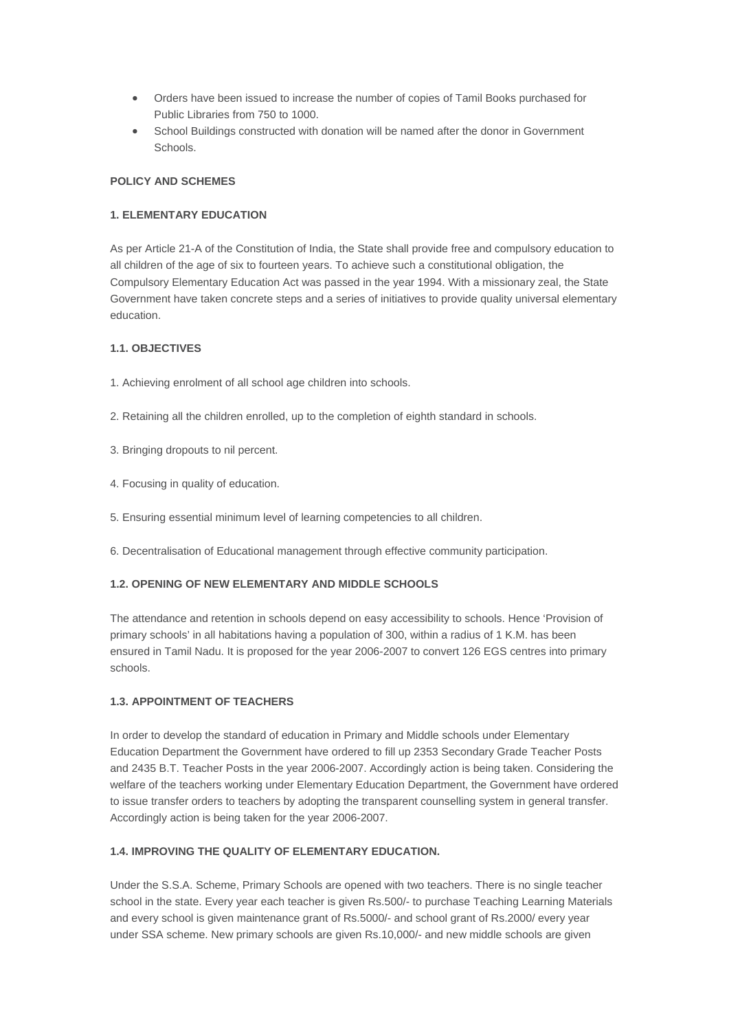- Orders have been issued to increase the number of copies of Tamil Books purchased for Public Libraries from 750 to 1000.
- School Buildings constructed with donation will be named after the donor in Government Schools.

## **POLICY AND SCHEMES**

## **1. ELEMENTARY EDUCATION**

As per Article 21-A of the Constitution of India, the State shall provide free and compulsory education to all children of the age of six to fourteen years. To achieve such a constitutional obligation, the Compulsory Elementary Education Act was passed in the year 1994. With a missionary zeal, the State Government have taken concrete steps and a series of initiatives to provide quality universal elementary education.

## **1.1. OBJECTIVES**

- 1. Achieving enrolment of all school age children into schools.
- 2. Retaining all the children enrolled, up to the completion of eighth standard in schools.
- 3. Bringing dropouts to nil percent.
- 4. Focusing in quality of education.
- 5. Ensuring essential minimum level of learning competencies to all children.
- 6. Decentralisation of Educational management through effective community participation.

#### **1.2. OPENING OF NEW ELEMENTARY AND MIDDLE SCHOOLS**

The attendance and retention in schools depend on easy accessibility to schools. Hence 'Provision of primary schools' in all habitations having a population of 300, within a radius of 1 K.M. has been ensured in Tamil Nadu. It is proposed for the year 2006-2007 to convert 126 EGS centres into primary schools.

## **1.3. APPOINTMENT OF TEACHERS**

In order to develop the standard of education in Primary and Middle schools under Elementary Education Department the Government have ordered to fill up 2353 Secondary Grade Teacher Posts and 2435 B.T. Teacher Posts in the year 2006-2007. Accordingly action is being taken. Considering the welfare of the teachers working under Elementary Education Department, the Government have ordered to issue transfer orders to teachers by adopting the transparent counselling system in general transfer. Accordingly action is being taken for the year 2006-2007.

#### **1.4. IMPROVING THE QUALITY OF ELEMENTARY EDUCATION.**

Under the S.S.A. Scheme, Primary Schools are opened with two teachers. There is no single teacher school in the state. Every year each teacher is given Rs.500/- to purchase Teaching Learning Materials and every school is given maintenance grant of Rs.5000/- and school grant of Rs.2000/ every year under SSA scheme. New primary schools are given Rs.10,000/- and new middle schools are given